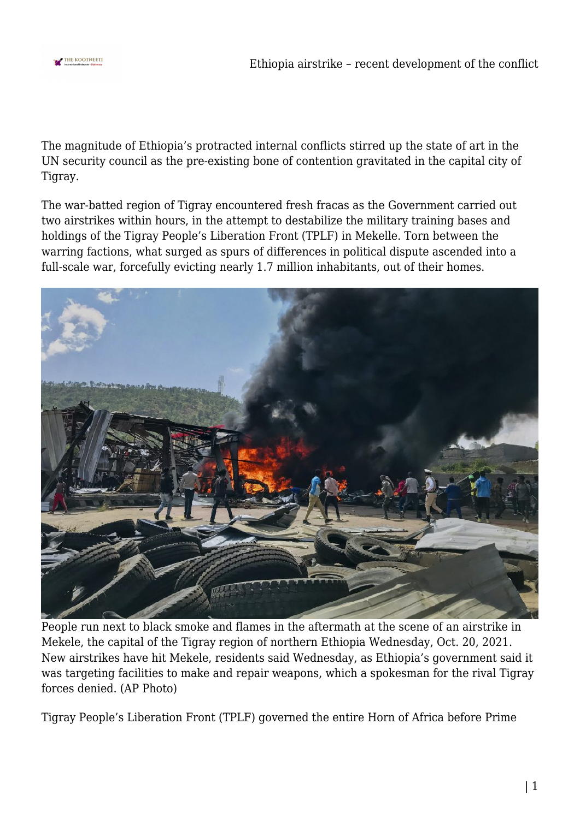

The magnitude of Ethiopia's protracted internal conflicts stirred up the state of art in the UN security council as the pre-existing bone of contention gravitated in the capital city of Tigray.

The war-batted region of Tigray encountered fresh fracas as the Government carried out two airstrikes within hours, in the attempt to destabilize the military training bases and holdings of the Tigray People's Liberation Front (TPLF) in Mekelle. Torn between the warring factions, what surged as spurs of differences in political dispute ascended into a full-scale war, forcefully evicting nearly 1.7 million inhabitants, out of their homes.



People run next to black smoke and flames in the aftermath at the scene of an airstrike in Mekele, the capital of the Tigray region of northern Ethiopia Wednesday, Oct. 20, 2021. New airstrikes have hit Mekele, residents said Wednesday, as Ethiopia's government said it was targeting facilities to make and repair weapons, which a spokesman for the rival Tigray forces denied. (AP Photo)

Tigray People's Liberation Front (TPLF) governed the entire Horn of Africa before Prime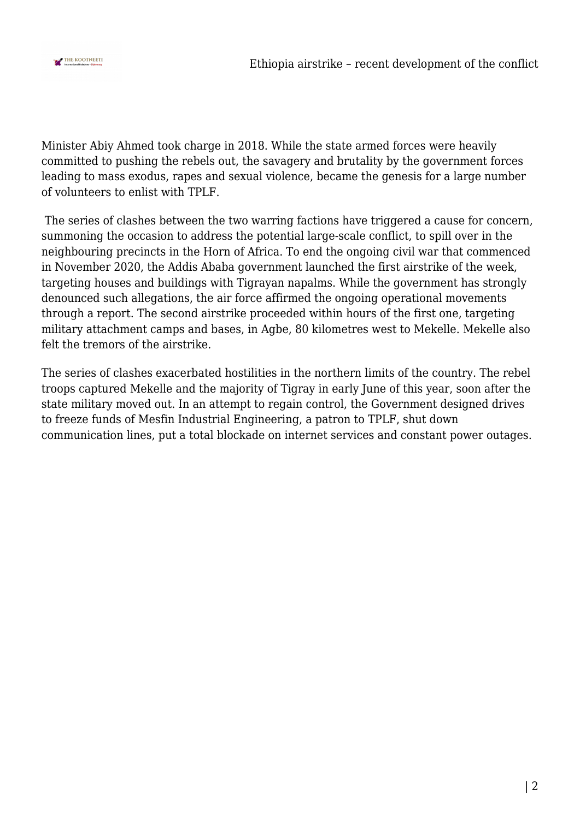

Minister Abiy Ahmed took charge in 2018. While the state armed forces were heavily committed to pushing the rebels out, the savagery and brutality by the government forces leading to mass exodus, rapes and sexual violence, became the genesis for a large number of volunteers to enlist with TPLF.

 The series of clashes between the two warring factions have triggered a cause for concern, summoning the occasion to address the potential large-scale conflict, to spill over in the neighbouring precincts in the Horn of Africa. To end the ongoing civil war that commenced in November 2020, the Addis Ababa government launched the first airstrike of the week, targeting houses and buildings with Tigrayan napalms. While the government has strongly denounced such allegations, the air force affirmed the ongoing operational movements through a report. The second airstrike proceeded within hours of the first one, targeting military attachment camps and bases, in Agbe, 80 kilometres west to Mekelle. Mekelle also felt the tremors of the airstrike.

The series of clashes exacerbated hostilities in the northern limits of the country. The rebel troops captured Mekelle and the majority of Tigray in early June of this year, soon after the state military moved out. In an attempt to regain control, the Government designed drives to freeze funds of Mesfin Industrial Engineering, a patron to TPLF, shut down communication lines, put a total blockade on internet services and constant power outages.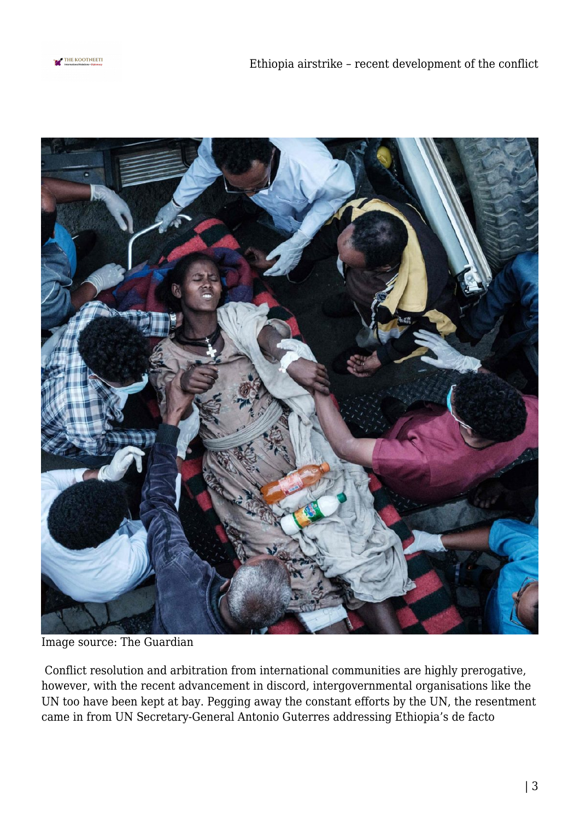



Image source: The Guardian

 Conflict resolution and arbitration from international communities are highly prerogative, however, with the recent advancement in discord, intergovernmental organisations like the UN too have been kept at bay. Pegging away the constant efforts by the UN, the resentment came in from UN Secretary-General Antonio Guterres addressing Ethiopia's de facto